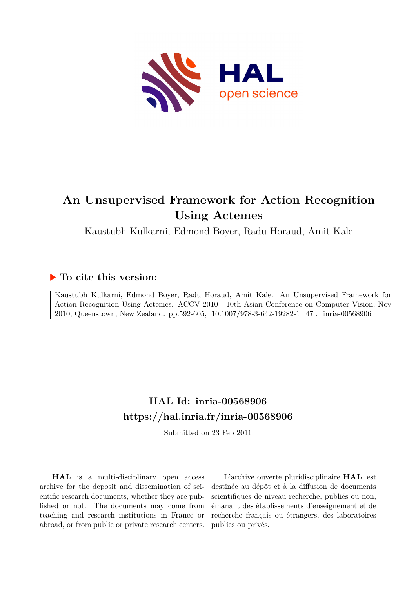

# **An Unsupervised Framework for Action Recognition Using Actemes**

Kaustubh Kulkarni, Edmond Boyer, Radu Horaud, Amit Kale

# **To cite this version:**

Kaustubh Kulkarni, Edmond Boyer, Radu Horaud, Amit Kale. An Unsupervised Framework for Action Recognition Using Actemes. ACCV 2010 - 10th Asian Conference on Computer Vision, Nov 2010, Queenstown, New Zealand. pp.592-605, 10.1007/978-3-642-19282-1\_47. inria-00568906

# **HAL Id: inria-00568906 <https://hal.inria.fr/inria-00568906>**

Submitted on 23 Feb 2011

**HAL** is a multi-disciplinary open access archive for the deposit and dissemination of scientific research documents, whether they are published or not. The documents may come from teaching and research institutions in France or abroad, or from public or private research centers.

L'archive ouverte pluridisciplinaire **HAL**, est destinée au dépôt et à la diffusion de documents scientifiques de niveau recherche, publiés ou non, émanant des établissements d'enseignement et de recherche français ou étrangers, des laboratoires publics ou privés.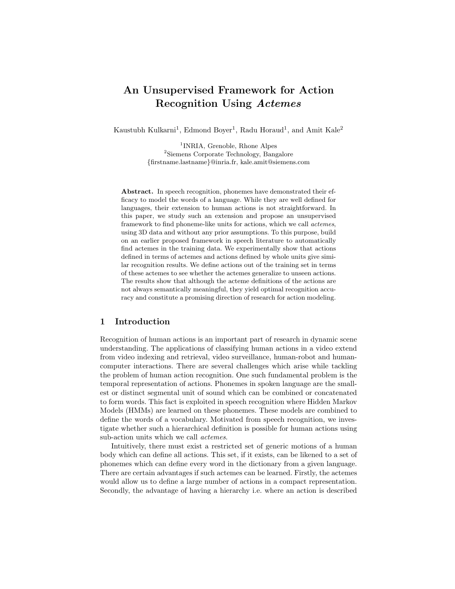# An Unsupervised Framework for Action Recognition Using Actemes

Kaustubh Kulkarni<sup>1</sup>, Edmond Boyer<sup>1</sup>, Radu Horaud<sup>1</sup>, and Amit Kale<sup>2</sup>

<sup>1</sup>INRIA, Grenoble, Rhone Alpes <sup>2</sup>Siemens Corporate Technology, Bangalore {firstname.lastname}@inria.fr, kale.amit@siemens.com

Abstract. In speech recognition, phonemes have demonstrated their efficacy to model the words of a language. While they are well defined for languages, their extension to human actions is not straightforward. In this paper, we study such an extension and propose an unsupervised framework to find phoneme-like units for actions, which we call actemes, using 3D data and without any prior assumptions. To this purpose, build on an earlier proposed framework in speech literature to automatically find actemes in the training data. We experimentally show that actions defined in terms of actemes and actions defined by whole units give similar recognition results. We define actions out of the training set in terms of these actemes to see whether the actemes generalize to unseen actions. The results show that although the acteme definitions of the actions are not always semantically meaningful, they yield optimal recognition accuracy and constitute a promising direction of research for action modeling.

### 1 Introduction

Recognition of human actions is an important part of research in dynamic scene understanding. The applications of classifying human actions in a video extend from video indexing and retrieval, video surveillance, human-robot and humancomputer interactions. There are several challenges which arise while tackling the problem of human action recognition. One such fundamental problem is the temporal representation of actions. Phonemes in spoken language are the smallest or distinct segmental unit of sound which can be combined or concatenated to form words. This fact is exploited in speech recognition where Hidden Markov Models (HMMs) are learned on these phonemes. These models are combined to define the words of a vocabulary. Motivated from speech recognition, we investigate whether such a hierarchical definition is possible for human actions using sub-action units which we call actemes.

Intuitively, there must exist a restricted set of generic motions of a human body which can define all actions. This set, if it exists, can be likened to a set of phonemes which can define every word in the dictionary from a given language. There are certain advantages if such actemes can be learned. Firstly, the actemes would allow us to define a large number of actions in a compact representation. Secondly, the advantage of having a hierarchy i.e. where an action is described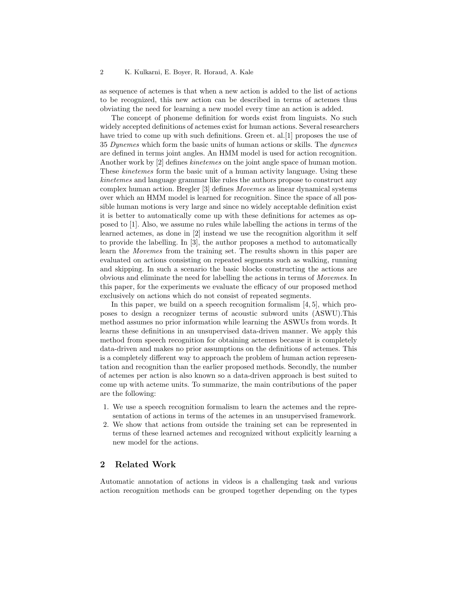as sequence of actemes is that when a new action is added to the list of actions to be recognized, this new action can be described in terms of actemes thus obviating the need for learning a new model every time an action is added.

The concept of phoneme definition for words exist from linguists. No such widely accepted definitions of actemes exist for human actions. Several researchers have tried to come up with such definitions. Green et. al. [1] proposes the use of 35 Dynemes which form the basic units of human actions or skills. The *dynemes* are defined in terms joint angles. An HMM model is used for action recognition. Another work by [2] defines kinetemes on the joint angle space of human motion. These kinetemes form the basic unit of a human activity language. Using these kinetemes and language grammar like rules the authors propose to construct any complex human action. Bregler [3] defines Movemes as linear dynamical systems over which an HMM model is learned for recognition. Since the space of all possible human motions is very large and since no widely acceptable definition exist it is better to automatically come up with these definitions for actemes as opposed to [1]. Also, we assume no rules while labelling the actions in terms of the learned actemes, as done in [2] instead we use the recognition algorithm it self to provide the labelling. In [3], the author proposes a method to automatically learn the Movemes from the training set. The results shown in this paper are evaluated on actions consisting on repeated segments such as walking, running and skipping. In such a scenario the basic blocks constructing the actions are obvious and eliminate the need for labelling the actions in terms of Movemes. In this paper, for the experiments we evaluate the efficacy of our proposed method exclusively on actions which do not consist of repeated segments.

In this paper, we build on a speech recognition formalism [4, 5], which proposes to design a recognizer terms of acoustic subword units (ASWU).This method assumes no prior information while learning the ASWUs from words. It learns these definitions in an unsupervised data-driven manner. We apply this method from speech recognition for obtaining actemes because it is completely data-driven and makes no prior assumptions on the definitions of actemes. This is a completely different way to approach the problem of human action representation and recognition than the earlier proposed methods. Secondly, the number of actemes per action is also known so a data-driven approach is best suited to come up with acteme units. To summarize, the main contributions of the paper are the following:

- 1. We use a speech recognition formalism to learn the actemes and the representation of actions in terms of the actemes in an unsupervised framework.
- 2. We show that actions from outside the training set can be represented in terms of these learned actemes and recognized without explicitly learning a new model for the actions.

# 2 Related Work

Automatic annotation of actions in videos is a challenging task and various action recognition methods can be grouped together depending on the types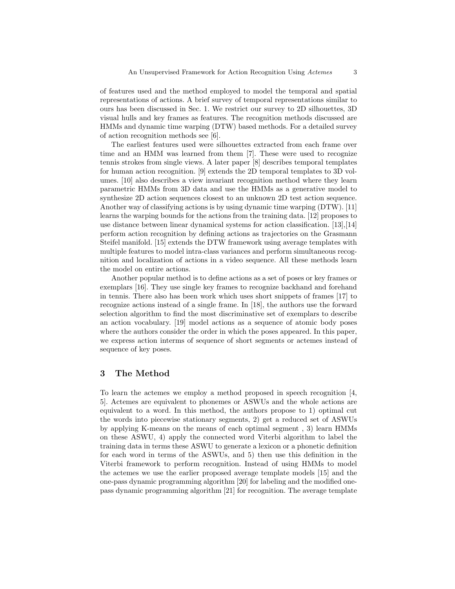of features used and the method employed to model the temporal and spatial representations of actions. A brief survey of temporal representations similar to ours has been discussed in Sec. 1. We restrict our survey to 2D silhouettes, 3D visual hulls and key frames as features. The recognition methods discussed are HMMs and dynamic time warping (DTW) based methods. For a detailed survey of action recognition methods see [6].

The earliest features used were silhouettes extracted from each frame over time and an HMM was learned from them [7]. These were used to recognize tennis strokes from single views. A later paper [8] describes temporal templates for human action recognition. [9] extends the 2D temporal templates to 3D volumes. [10] also describes a view invariant recognition method where they learn parametric HMMs from 3D data and use the HMMs as a generative model to synthesize 2D action sequences closest to an unknown 2D test action sequence. Another way of classifying actions is by using dynamic time warping (DTW). [11] learns the warping bounds for the actions from the training data. [12] proposes to use distance between linear dynamical systems for action classification. [13],[14] perform action recognition by defining actions as trajectories on the Grasmann Steifel manifold. [15] extends the DTW framework using average templates with multiple features to model intra-class variances and perform simultaneous recognition and localization of actions in a video sequence. All these methods learn the model on entire actions.

Another popular method is to define actions as a set of poses or key frames or exemplars [16]. They use single key frames to recognize backhand and forehand in tennis. There also has been work which uses short snippets of frames [17] to recognize actions instead of a single frame. In [18], the authors use the forward selection algorithm to find the most discriminative set of exemplars to describe an action vocabulary. [19] model actions as a sequence of atomic body poses where the authors consider the order in which the poses appeared. In this paper, we express action interms of sequence of short segments or actemes instead of sequence of key poses.

## 3 The Method

To learn the actemes we employ a method proposed in speech recognition [4, 5]. Actemes are equivalent to phonemes or ASWUs and the whole actions are equivalent to a word. In this method, the authors propose to 1) optimal cut the words into piecewise stationary segments, 2) get a reduced set of ASWUs by applying K-means on the means of each optimal segment , 3) learn HMMs on these ASWU, 4) apply the connected word Viterbi algorithm to label the training data in terms these ASWU to generate a lexicon or a phonetic definition for each word in terms of the ASWUs, and 5) then use this definition in the Viterbi framework to perform recognition. Instead of using HMMs to model the actemes we use the earlier proposed average template models [15] and the one-pass dynamic programming algorithm [20] for labeling and the modified onepass dynamic programming algorithm [21] for recognition. The average template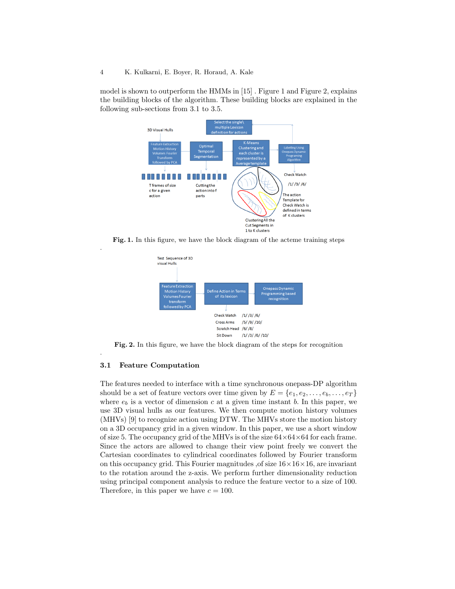#### 4 K. Kulkarni, E. Boyer, R. Horaud, A. Kale

model is shown to outperform the HMMs in [15] . Figure 1 and Figure 2, explains the building blocks of the algorithm. These building blocks are explained in the following sub-sections from 3.1 to 3.5.



Fig. 1. In this figure, we have the block diagram of the acteme training steps



Fig. 2. In this figure, we have the block diagram of the steps for recognition

#### 3.1 Feature Computation

.

.

The features needed to interface with a time synchronous onepass-DP algorithm should be a set of feature vectors over time given by  $E = \{e_1, e_2, \ldots, e_b, \ldots, e_T\}$ where  $e_b$  is a vector of dimension c at a given time instant b. In this paper, we use 3D visual hulls as our features. We then compute motion history volumes (MHVs) [9] to recognize action using DTW. The MHVs store the motion history on a 3D occupancy grid in a given window. In this paper, we use a short window of size 5. The occupancy grid of the MHVs is of the size  $64\times64\times64$  for each frame. Since the actors are allowed to change their view point freely we convert the Cartesian coordinates to cylindrical coordinates followed by Fourier transform on this occupancy grid. This Fourier magnitudes, of size  $16 \times 16 \times 16$ , are invariant to the rotation around the z-axis. We perform further dimensionality reduction using principal component analysis to reduce the feature vector to a size of 100. Therefore, in this paper we have  $c = 100$ .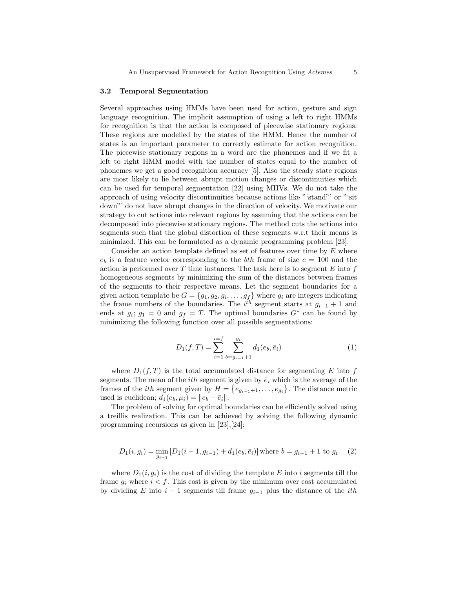#### 3.2 Temporal Segmentation

Several approaches using HMMs have been used for action, gesture and sign language recognition. The implicit assumption of using a left to right HMMs for recognition is that the action is composed of piecewise stationary regions. These regions are modelled by the states of the HMM. Hence the number of states is an important parameter to correctly estimate for action recognition. The piecewise stationary regions in a word are the phonemes and if we fit a left to right HMM model with the number of states equal to the number of phonemes we get a good recognition accuracy [5]. Also the steady state regions are most likely to lie between abrupt motion changes or discontinuities which can be used for temporal segmentation [22] using MHVs. We do not take the approach of using velocity discontinuities because actions like "'stand"' or "'sit down"' do not have abrupt changes in the direction of velocity. We motivate our strategy to cut actions into relevant regions by assuming that the actions can be decomposed into piecewise stationary regions. The method cuts the actions into segments such that the global distortion of these segments w.r.t their means is minimized. This can be formulated as a dynamic programming problem [23].

Consider an action template defined as set of features over time by E where  $e_b$  is a feature vector corresponding to the bth frame of size  $c = 100$  and the action is performed over  $T$  time instances. The task here is to segment  $E$  into  $f$ homogeneous segments by minimizing the sum of the distances between frames of the segments to their respective means. Let the segment boundaries for a given action template be  $G = \{g_1, g_2, g_i, \dots, g_f\}$  where  $g_i$  are integers indicating the frame numbers of the boundaries. The  $i^{th}$  segment starts at  $g_{i-1} + 1$  and ends at  $g_i$ ;  $g_1 = 0$  and  $g_f = T$ . The optimal boundaries  $G^*$  can be found by minimizing the following function over all possible segmentations:

$$
D_1(f,T) = \sum_{i=1}^{i=f} \sum_{b=g_{i-1}+1}^{g_i} d_1(e_b, \bar{e}_i)
$$
 (1)

where  $D_1(f, T)$  is the total accumulated distance for segmenting E into f segments. The mean of the *ith* segment is given by  $\bar{e}_i$  which is the average of the frames of the *ith* segment given by  $H = \{e_{g_{i-1}+1}, \ldots, e_{g_i}\}\.$  The distance metric used is euclidean;  $d_1(e_b, \mu_i) = ||e_b - \bar{e}_i||.$ 

The problem of solving for optimal boundaries can be efficiently solved using a treillis realization. This can be achieved by solving the following dynamic programming recursions as given in [23],[24]:

$$
D_1(i, g_i) = \min_{g_{i-1}} [D_1(i-1, g_{i-1}) + d_1(e_b, \bar{e}_i)] \text{ where } b = g_{i-1} + 1 \text{ to } g_i \quad (2)
$$

where  $D_1(i, g_i)$  is the cost of dividing the template E into i segments till the frame  $g_i$  where  $i < f$ . This cost is given by the minimum over cost accumulated by dividing E into  $i-1$  segments till frame  $g_{i-1}$  plus the distance of the *ith*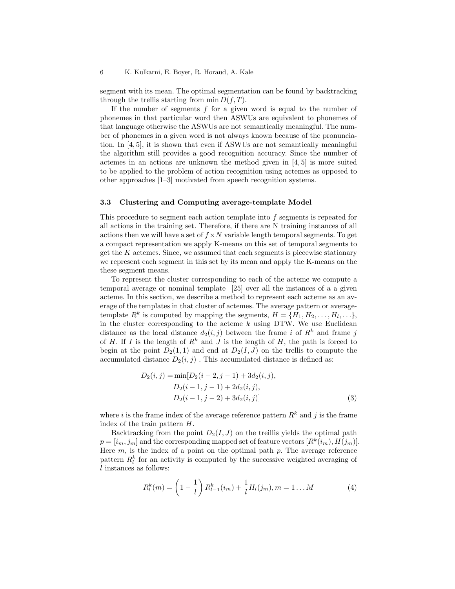segment with its mean. The optimal segmentation can be found by backtracking through the trellis starting from min  $D(f, T)$ .

If the number of segments  $f$  for a given word is equal to the number of phonemes in that particular word then ASWUs are equivalent to phonemes of that language otherwise the ASWUs are not semantically meaningful. The number of phonemes in a given word is not always known because of the pronunciation. In [4, 5], it is shown that even if ASWUs are not semantically meaningful the algorithm still provides a good recognition accuracy. Since the number of actemes in an actions are unknown the method given in [4, 5] is more suited to be applied to the problem of action recognition using actemes as opposed to other approaches [1–3] motivated from speech recognition systems.

#### 3.3 Clustering and Computing average-template Model

This procedure to segment each action template into f segments is repeated for all actions in the training set. Therefore, if there are N training instances of all actions then we will have a set of  $f \times N$  variable length temporal segments. To get a compact representation we apply K-means on this set of temporal segments to get the  $K$  actemes. Since, we assumed that each segments is piecewise stationary we represent each segment in this set by its mean and apply the K-means on the these segment means.

To represent the cluster corresponding to each of the acteme we compute a temporal average or nominal template [25] over all the instances of a a given acteme. In this section, we describe a method to represent each acteme as an average of the templates in that cluster of actemes. The average pattern or averagetemplate  $R^k$  is computed by mapping the segments,  $H = \{H_1, H_2, \ldots, H_l, \ldots\},\$ in the cluster corresponding to the acteme  $k$  using DTW. We use Euclidean distance as the local distance  $d_2(i, j)$  between the frame i of  $R^k$  and frame j of H. If I is the length of  $R^k$  and J is the length of H, the path is forced to begin at the point  $D_2(1,1)$  and end at  $D_2(I, J)$  on the trellis to compute the accumulated distance  $D_2(i, j)$ . This accumulated distance is defined as:

$$
D_2(i,j) = \min[D_2(i-2,j-1) + 3d_2(i,j)),
$$
  
\n
$$
D_2(i-1,j-1) + 2d_2(i,j),
$$
  
\n
$$
D_2(i-1,j-2) + 3d_2(i,j)]
$$
\n(3)

where i is the frame index of the average reference pattern  $R^k$  and j is the frame index of the train pattern H.

Backtracking from the point  $D_2(I, J)$  on the treillis yields the optimal path  $p = [i_m, j_m]$  and the corresponding mapped set of feature vectors  $[R^k(i_m), H(j_m)].$ Here  $m$ , is the index of a point on the optimal path  $p$ . The average reference pattern  $R_l^k$  for an activity is computed by the successive weighted averaging of  $l$  instances as follows:

$$
R_l^k(m) = \left(1 - \frac{1}{l}\right) R_{l-1}^k(i_m) + \frac{1}{l} H_l(j_m), m = 1 \dots M
$$
 (4)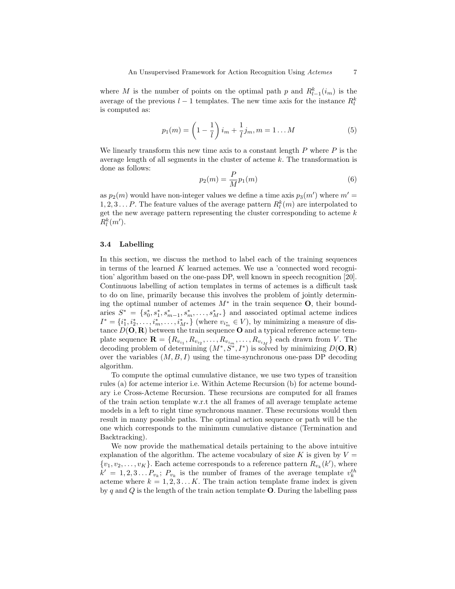where M is the number of points on the optimal path p and  $R_{l-1}^k(i_m)$  is the average of the previous  $l-1$  templates. The new time axis for the instance  $R_l^k$ is computed as:

$$
p_1(m) = \left(1 - \frac{1}{l}\right)i_m + \frac{1}{l}j_m, m = 1...M
$$
 (5)

We linearly transform this new time axis to a constant length  $P$  where  $P$  is the average length of all segments in the cluster of acteme k. The transformation is done as follows:

$$
p_2(m) = \frac{P}{M} p_1(m) \tag{6}
$$

as  $p_2(m)$  would have non-integer values we define a time axis  $p_3(m')$  where  $m' =$  $1, 2, 3...$  P. The feature values of the average pattern  $R_l^k(m)$  are interpolated to get the new average pattern representing the cluster corresponding to acteme  $k$  $R_l^k(m')$ .

#### 3.4 Labelling

In this section, we discuss the method to label each of the training sequences in terms of the learned  $K$  learned actemes. We use a 'connected word recognition' algorithm based on the one-pass DP, well known in speech recognition [20]. Continuous labelling of action templates in terms of actemes is a difficult task to do on line, primarily because this involves the problem of jointly determining the optimal number of actemes  $M^*$  in the train sequence  $O$ , their boundaries  $S^* = \{s_0^*, s_1^*, s_{m-1}^*, s_m^*, \ldots, s_{M^*}^*\}$  and associated optimal acteme indices  $I^* = \{i_1^*, i_2^*, \ldots, i_m^*, \ldots, i_{M^*}^*\}$  (where  $v_{i_m^*} \in V$ ), by minimizing a measure of distance  $D(\mathbf{O}, \mathbf{R})$  between the train sequence **O** and a typical reference acteme template sequence  $\mathbf{R} = \{R_{v_{i_1}}, R_{v_{i_2}}, \ldots, R_{v_{i_m}}, \ldots, R_{v_{i_M}}\}$  each drawn from V. The decoding problem of determining  $(M^*, S^*, I^*)$  is solved by minimizing  $D(\mathbf{O}, \mathbf{R})$ over the variables  $(M, B, I)$  using the time-synchronous one-pass DP decoding algorithm.

To compute the optimal cumulative distance, we use two types of transition rules (a) for acteme interior i.e. Within Acteme Recursion (b) for acteme boundary i.e Cross-Acteme Recursion. These recursions are computed for all frames of the train action template w.r.t the all frames of all average template acteme models in a left to right time synchronous manner. These recursions would then result in many possible paths. The optimal action sequence or path will be the one which corresponds to the minimum cumulative distance (Termination and Backtracking).

We now provide the mathematical details pertaining to the above intuitive explanation of the algorithm. The acteme vocabulary of size K is given by  $V =$  $\{v_1, v_2, \ldots, v_K\}$ . Each acteme corresponds to a reference pattern  $R_{v_k}(k')$ , where  $k' = 1, 2, 3...P_{v_k}; P_{v_k}$  is the number of frames of the average template  $v_k^{th}$ acteme where  $k = 1, 2, 3...K$ . The train action template frame index is given by q and  $Q$  is the length of the train action template **O**. During the labelling pass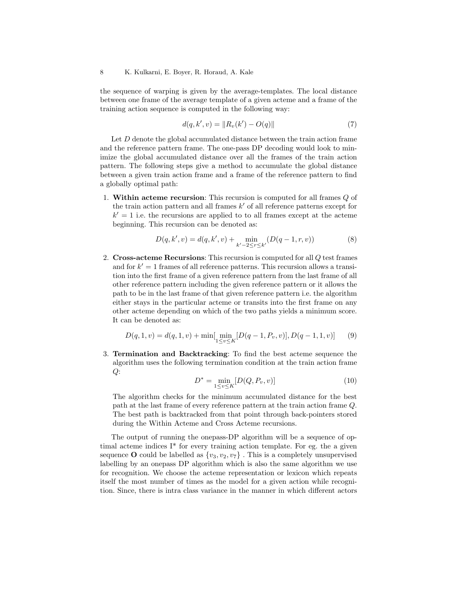the sequence of warping is given by the average-templates. The local distance between one frame of the average template of a given acteme and a frame of the training action sequence is computed in the following way:

$$
d(q, k', v) = ||R_v(k') - O(q)|| \tag{7}
$$

Let D denote the global accumulated distance between the train action frame and the reference pattern frame. The one-pass DP decoding would look to minimize the global accumulated distance over all the frames of the train action pattern. The following steps give a method to accumulate the global distance between a given train action frame and a frame of the reference pattern to find a globally optimal path:

1. Within acteme recursion: This recursion is computed for all frames Q of the train action pattern and all frames  $k'$  of all reference patterns except for  $k' = 1$  i.e. the recursions are applied to to all frames except at the acteme beginning. This recursion can be denoted as:

$$
D(q, k', v) = d(q, k', v) + \min_{k'-2 \le r \le k'} (D(q-1, r, v))
$$
\n(8)

2. Cross-acteme Recursions: This recursion is computed for all  $Q$  test frames and for  $k' = 1$  frames of all reference patterns. This recursion allows a transition into the first frame of a given reference pattern from the last frame of all other reference pattern including the given reference pattern or it allows the path to be in the last frame of that given reference pattern i.e. the algorithm either stays in the particular acteme or transits into the first frame on any other acteme depending on which of the two paths yields a minimum score. It can be denoted as:

$$
D(q, 1, v) = d(q, 1, v) + \min[\min_{1 \le v \le K} [D(q - 1, P_v, v)], D(q - 1, 1, v)] \tag{9}
$$

3. Termination and Backtracking: To find the best acteme sequence the algorithm uses the following termination condition at the train action frame  $Q$ :

$$
D^* = \min_{1 \le v \le K} [D(Q, P_v, v)] \tag{10}
$$

The algorithm checks for the minimum accumulated distance for the best path at the last frame of every reference pattern at the train action frame Q. The best path is backtracked from that point through back-pointers stored during the Within Acteme and Cross Acteme recursions.

The output of running the onepass-DP algorithm will be a sequence of optimal acteme indices  $I^*$  for every training action template. For eg. the a given sequence **O** could be labelled as  $\{v_3, v_2, v_7\}$ . This is a completely unsupervised labelling by an onepass DP algorithm which is also the same algorithm we use for recognition. We choose the acteme representation or lexicon which repeats itself the most number of times as the model for a given action while recognition. Since, there is intra class variance in the manner in which different actors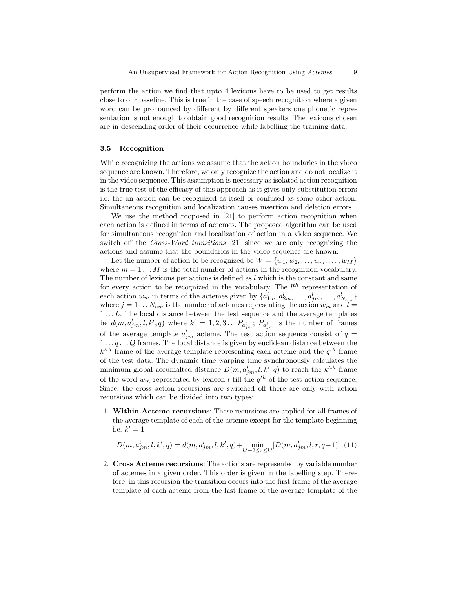perform the action we find that upto 4 lexicons have to be used to get results close to our baseline. This is true in the case of speech recognition where a given word can be pronounced by different by different speakers one phonetic representation is not enough to obtain good recognition results. The lexicons chosen are in descending order of their occurrence while labelling the training data.

#### 3.5 Recognition

While recognizing the actions we assume that the action boundaries in the video sequence are known. Therefore, we only recognize the action and do not localize it in the video sequence. This assumption is necessary as isolated action recognition is the true test of the efficacy of this approach as it gives only substitution errors i.e. the an action can be recognized as itself or confused as some other action. Simultaneous recognition and localization causes insertion and deletion errors.

We use the method proposed in [21] to perform action recognition when each action is defined in terms of actemes. The proposed algorithm can be used for simultaneous recognition and localization of action in a video sequence. We switch off the Cross-Word transitions [21] since we are only recognizing the actions and assume that the boundaries in the video sequence are known.

Let the number of action to be recognized be  $W = \{w_1, w_2, \ldots, w_m, \ldots, w_M\}$ where  $m = 1...M$  is the total number of actions in the recognition vocabulary. The number of lexicons per actions is defined as  $l$  which is the constant and same for every action to be recognized in the vocabulary. The  $l^{th}$  representation of each action  $w_m$  in terms of the actemes given by  $\{a_{1m}^l, a_{2m}^l, \ldots, a_{jm}^l, \ldots, a_{N_{am}}^l\}$ where  $j = 1 \ldots N_{am}$  is the number of actemes representing the action  $w_m$  and  $l =$ 1...L. The local distance between the test sequence and the average templates be  $d(m, a_{jm}^l, l, k', q)$  where  $k' = 1, 2, 3 \ldots P_{a_{jm}^l}$ ;  $P_{a_{jm}^l}$  is the number of frames of the average template  $a_{jm}^l$  acteme. The test action sequence consist of  $q =$  $1 \ldots q \ldots Q$  frames. The local distance is given by euclidean distance between the  $k<sup>th</sup>$  frame of the average template representing each acteme and the  $q<sup>th</sup>$  frame of the test data. The dynamic time warping time synchronously calculates the minimum global accumalted distance  $D(m, a_{jm}^l, l, k', q)$  to reach the  $k<sup>th</sup>$  frame of the word  $w_m$  represented by lexicon l till the  $q^{th}$  of the test action sequence. Since, the cross action recursions are switched off there are only with action recursions which can be divided into two types:

1. Within Acteme recursions: These recursions are applied for all frames of the average template of each of the acteme except for the template beginning i.e.  $k'=1$ 

$$
D(m, a_{jm}^l, l, k', q) = d(m, a_{jm}^l, l, k', q) + \min_{k'-2 \le r \le k'} [D(m, a_{jm}^l, l, r, q-1)] \tag{11}
$$

2. Cross Acteme recursions: The actions are represented by variable number of actemes in a given order. This order is given in the labelling step. Therefore, in this recursion the transition occurs into the first frame of the average template of each acteme from the last frame of the average template of the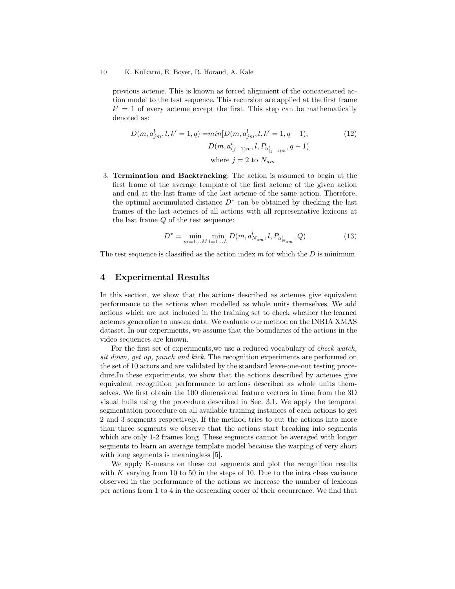#### 10 K. Kulkarni, E. Boyer, R. Horaud, A. Kale

previous acteme. This is known as forced alignment of the concatenated action model to the test sequence. This recursion are applied at the first frame  $k' = 1$  of every acteme except the first. This step can be mathematically denoted as:

$$
D(m, a_{jm}^l, l, k'=1, q) = min[D(m, a_{jm}^l, l, k'=1, q-1),
$$
  
\n
$$
D(m, a_{(j-1)m}^l, l, P_{a_{(j-1)m}^l}, q-1)]
$$
  
\nwhere  $j = 2$  to  $N_{am}$  (12)

3. Termination and Backtracking: The action is assumed to begin at the first frame of the average template of the first acteme of the given action and end at the last frame of the last acteme of the same action. Therefore, the optimal accumulated distance  $D^*$  can be obtained by checking the last frames of the last actemes of all actions with all representative lexicons at the last frame Q of the test sequence:

$$
D^* = \min_{m=1...M} \min_{l=1...L} D(m, a_{N_{am}}^l, l, P_{a_{N_{am}}^l}, Q)
$$
(13)

The test sequence is classified as the action index  $m$  for which the  $D$  is minimum.

### 4 Experimental Results

In this section, we show that the actions described as actemes give equivalent performance to the actions when modelled as whole units themselves. We add actions which are not included in the training set to check whether the learned actemes generalize to unseen data. We evaluate our method on the INRIA XMAS dataset. In our experiments, we assume that the boundaries of the actions in the video sequences are known.

For the first set of experiments,we use a reduced vocabulary of check watch, sit down, get up, punch and kick. The recognition experiments are performed on the set of 10 actors and are validated by the standard leave-one-out testing procedure.In these experiments, we show that the actions described by actemes give equivalent recognition performance to actions described as whole units themselves. We first obtain the 100 dimensional feature vectors in time from the 3D visual hulls using the procedure described in Sec. 3.1. We apply the temporal segmentation procedure on all available training instances of each actions to get 2 and 3 segments respectively. If the method tries to cut the actions into more than three segments we observe that the actions start breaking into segments which are only 1-2 frames long. These segments cannot be averaged with longer segments to learn an average template model because the warping of very short with long segments is meaningless [5].

We apply K-means on these cut segments and plot the recognition results with  $K$  varying from 10 to 50 in the steps of 10. Due to the intra class variance observed in the performance of the actions we increase the number of lexicons per actions from 1 to 4 in the descending order of their occurrence. We find that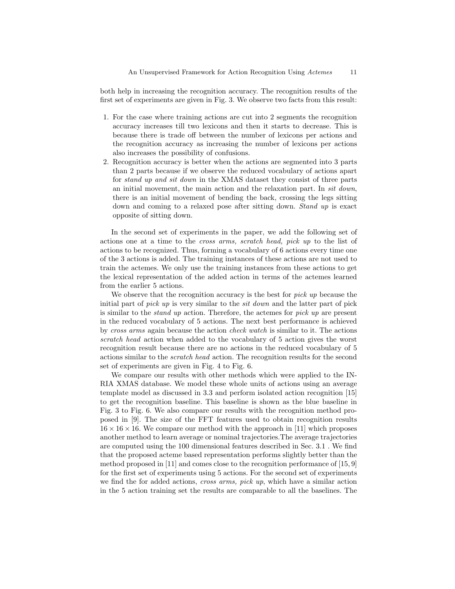both help in increasing the recognition accuracy. The recognition results of the first set of experiments are given in Fig. 3. We observe two facts from this result:

- 1. For the case where training actions are cut into 2 segments the recognition accuracy increases till two lexicons and then it starts to decrease. This is because there is trade off between the number of lexicons per actions and the recognition accuracy as increasing the number of lexicons per actions also increases the possibility of confusions.
- 2. Recognition accuracy is better when the actions are segmented into 3 parts than 2 parts because if we observe the reduced vocabulary of actions apart for stand up and sit down in the XMAS dataset they consist of three parts an initial movement, the main action and the relaxation part. In sit down, there is an initial movement of bending the back, crossing the legs sitting down and coming to a relaxed pose after sitting down. Stand up is exact opposite of sitting down.

In the second set of experiments in the paper, we add the following set of actions one at a time to the cross arms, scratch head, pick up to the list of actions to be recognized. Thus, forming a vocabulary of 6 actions every time one of the 3 actions is added. The training instances of these actions are not used to train the actemes. We only use the training instances from these actions to get the lexical representation of the added action in terms of the actemes learned from the earlier 5 actions.

We observe that the recognition accuracy is the best for  $pick$  up because the initial part of pick up is very similar to the sit down and the latter part of pick is similar to the stand up action. Therefore, the actemes for pick up are present in the reduced vocabulary of 5 actions. The next best performance is achieved by cross arms again because the action check watch is similar to it. The actions scratch head action when added to the vocabulary of 5 action gives the worst recognition result because there are no actions in the reduced vocabulary of 5 actions similar to the scratch head action. The recognition results for the second set of experiments are given in Fig. 4 to Fig. 6.

We compare our results with other methods which were applied to the IN-RIA XMAS database. We model these whole units of actions using an average template model as discussed in 3.3 and perform isolated action recognition [15] to get the recognition baseline. This baseline is shown as the blue baseline in Fig. 3 to Fig. 6. We also compare our results with the recognition method proposed in [9]. The size of the FFT features used to obtain recognition results  $16 \times 16 \times 16$ . We compare our method with the approach in [11] which proposes another method to learn average or nominal trajectories.The average trajectories are computed using the 100 dimensional features described in Sec. 3.1 . We find that the proposed acteme based representation performs slightly better than the method proposed in [11] and comes close to the recognition performance of [15, 9] for the first set of experiments using 5 actions. For the second set of experiments we find the for added actions, cross arms, pick up, which have a similar action in the 5 action training set the results are comparable to all the baselines. The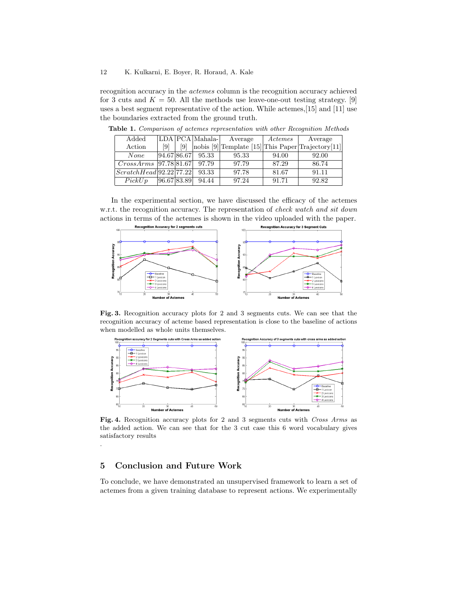recognition accuracy in the actemes column is the recognition accuracy achieved for 3 cuts and  $K = 50$ . All the methods use leave-one-out testing strategy. [9] uses a best segment representative of the action. While actemes,[15] and [11] use the boundaries extracted from the ground truth.

| Added                      |                   |                   | $LDA PCA Mahala- $ | Average | Actemes | Average                                                         |
|----------------------------|-------------------|-------------------|--------------------|---------|---------|-----------------------------------------------------------------|
| Action                     | $\lceil 9 \rceil$ | $\lceil 9 \rceil$ |                    |         |         | $ n \rangle$ nobis [9] Template [15] This Paper Trajectory [11] |
| None                       | 94.67 86.67       |                   | 95.33              | 95.33   | 94.00   | 92.00                                                           |
| $CrossArms$ [97.78] 81.67] |                   |                   | 97.79              | 97.79   | 87.29   | 86.74                                                           |
| ScratchHead 92.22 77.22    |                   |                   | 93.33              | 97.78   | 81.67   | 91.11                                                           |
| PickUp                     | 96.67 83.89       |                   | 94.44              | 97.24   | 91.71   | 92.82                                                           |

Table 1. Comparison of actemes representation with other Recognition Methods

In the experimental section, we have discussed the efficacy of the actemes w.r.t. the recognition accuracy. The representation of *check watch and sit down* actions in terms of the actemes is shown in the video uploaded with the paper.



Fig. 3. Recognition accuracy plots for 2 and 3 segments cuts. We can see that the recognition accuracy of acteme based representation is close to the baseline of actions when modelled as whole units themselves.



Fig. 4. Recognition accuracy plots for 2 and 3 segments cuts with Cross Arms as the added action. We can see that for the 3 cut case this 6 word vocabulary gives satisfactory results

# 5 Conclusion and Future Work

.

To conclude, we have demonstrated an unsupervised framework to learn a set of actemes from a given training database to represent actions. We experimentally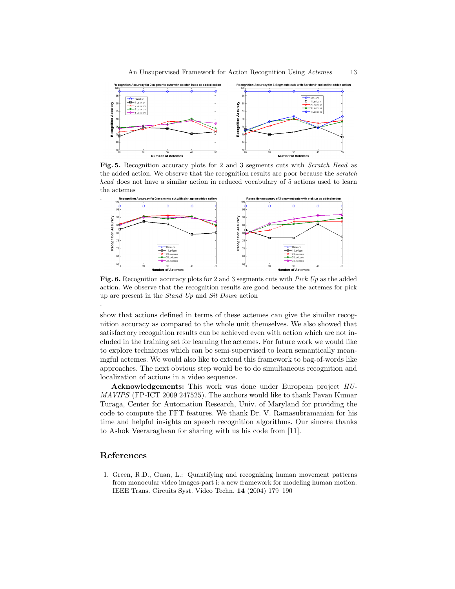

Fig. 5. Recognition accuracy plots for 2 and 3 segments cuts with Scratch Head as the added action. We observe that the recognition results are poor because the *scratch* head does not have a similar action in reduced vocabulary of 5 actions used to learn the actemes



Fig. 6. Recognition accuracy plots for 2 and 3 segments cuts with  $Pick Up$  as the added action. We observe that the recognition results are good because the actemes for pick up are present in the Stand Up and Sit Down action

show that actions defined in terms of these actemes can give the similar recognition accuracy as compared to the whole unit themselves. We also showed that satisfactory recognition results can be achieved even with action which are not included in the training set for learning the actemes. For future work we would like to explore techniques which can be semi-supervised to learn semantically meaningful actemes. We would also like to extend this framework to bag-of-words like approaches. The next obvious step would be to do simultaneous recognition and localization of actions in a video sequence.

Acknowledgements: This work was done under European project HU-MAVIPS (FP-ICT 2009 247525). The authors would like to thank Pavan Kumar Turaga, Center for Automation Research, Univ. of Maryland for providing the code to compute the FFT features. We thank Dr. V. Ramasubramanian for his time and helpful insights on speech recognition algorithms. Our sincere thanks to Ashok Veeraraghvan for sharing with us his code from [11].

## References

.

.

1. Green, R.D., Guan, L.: Quantifying and recognizing human movement patterns from monocular video images-part i: a new framework for modeling human motion. IEEE Trans. Circuits Syst. Video Techn. 14 (2004) 179–190